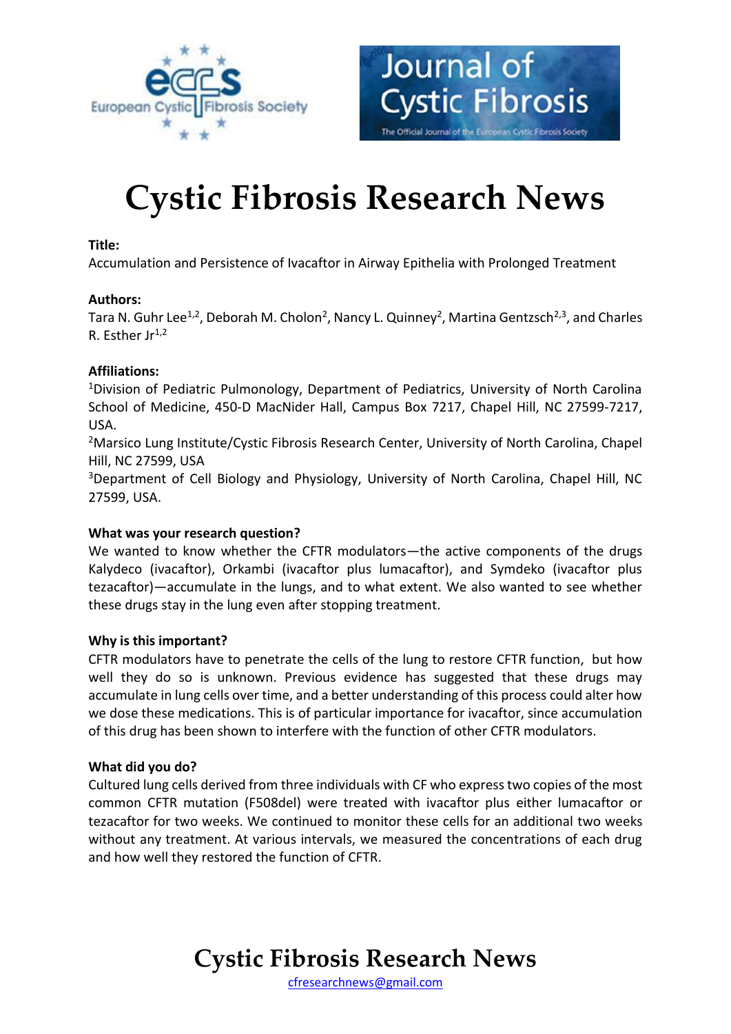



# **Cystic Fibrosis Research News**

#### **Title:**

Accumulation and Persistence of Ivacaftor in Airway Epithelia with Prolonged Treatment

## **Authors:**

Tara N. Guhr Lee<sup>1,2</sup>, Deborah M. Cholon<sup>2</sup>, Nancy L. Quinney<sup>2</sup>, Martina Gentzsch<sup>2,3</sup>, and Charles R. Esther  $Ir^{1,2}$ 

## **Affiliations:**

<sup>1</sup>Division of Pediatric Pulmonology, Department of Pediatrics, University of North Carolina School of Medicine, 450-D MacNider Hall, Campus Box 7217, Chapel Hill, NC 27599-7217, USA.

<sup>2</sup>Marsico Lung Institute/Cystic Fibrosis Research Center, University of North Carolina, Chapel Hill, NC 27599, USA

<sup>3</sup>Department of Cell Biology and Physiology, University of North Carolina, Chapel Hill, NC 27599, USA.

# **What was your research question?**

We wanted to know whether the CFTR modulators—the active components of the drugs Kalydeco (ivacaftor), Orkambi (ivacaftor plus lumacaftor), and Symdeko (ivacaftor plus tezacaftor)—accumulate in the lungs, and to what extent. We also wanted to see whether these drugs stay in the lung even after stopping treatment.

#### **Why is this important?**

CFTR modulators have to penetrate the cells of the lung to restore CFTR function, but how well they do so is unknown. Previous evidence has suggested that these drugs may accumulate in lung cells over time, and a better understanding of this process could alter how we dose these medications. This is of particular importance for ivacaftor, since accumulation of this drug has been shown to interfere with the function of other CFTR modulators.

#### **What did you do?**

Cultured lung cells derived from three individuals with CF who express two copies of the most common CFTR mutation (F508del) were treated with ivacaftor plus either lumacaftor or tezacaftor for two weeks. We continued to monitor these cells for an additional two weeks without any treatment. At various intervals, we measured the concentrations of each drug and how well they restored the function of CFTR.

# **Cystic Fibrosis Research News**

[cfresearchnews@gmail.com](mailto:cfresearchnews@gmail.com)